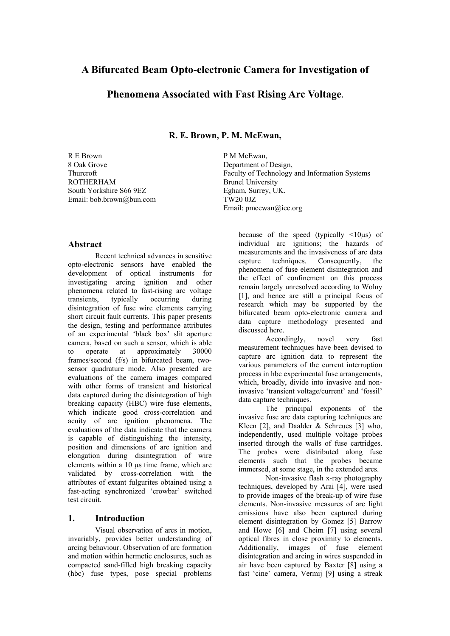# **A Bifurcated Beam Opto-electronic Camera for Investigation of**

## **Phenomena Associated with Fast Rising Arc Voltage.**

**R. E. Brown, P. M. McEwan,** 

R E Brown 8 Oak Grove Thurcroft ROTHERHAM South Yorkshire S66 9EZ Email: bob.brown@bun.com P M McEwan, Department of Design, Faculty of Technology and Information Systems Brunel University Egham, Surrey, UK. TW20 0JZ Email: pmcewan@iee.org

#### **Abstract**

Recent technical advances in sensitive opto-electronic sensors have enabled the development of optical instruments for investigating arcing ignition and other phenomena related to fast-rising arc voltage<br>transients, typically occurring during transients, typically occurring during disintegration of fuse wire elements carrying short circuit fault currents. This paper presents the design, testing and performance attributes of an experimental 'black box' slit aperture camera, based on such a sensor, which is able to operate at approximately 30000 frames/second (f/s) in bifurcated beam, twosensor quadrature mode. Also presented are evaluations of the camera images compared with other forms of transient and historical data captured during the disintegration of high breaking capacity (HBC) wire fuse elements, which indicate good cross-correlation and acuity of arc ignition phenomena. The evaluations of the data indicate that the camera is capable of distinguishing the intensity, position and dimensions of arc ignition and elongation during disintegration of wire elements within a 10 µs time frame, which are validated by cross-correlation with the attributes of extant fulgurites obtained using a fast-acting synchronized 'crowbar' switched test circuit.

#### **1. Introduction**

Visual observation of arcs in motion, invariably, provides better understanding of arcing behaviour. Observation of arc formation and motion within hermetic enclosures, such as compacted sand-filled high breaking capacity (hbc) fuse types, pose special problems because of the speed (typically  $\leq 10\mu s$ ) of individual arc ignitions; the hazards of measurements and the invasiveness of arc data capture techniques. Consequently, the phenomena of fuse element disintegration and the effect of confinement on this process remain largely unresolved according to Wolny [1], and hence are still a principal focus of research which may be supported by the bifurcated beam opto-electronic camera and data capture methodology presented and discussed here.

Accordingly, novel very fast measurement techniques have been devised to capture arc ignition data to represent the various parameters of the current interruption process in hbc experimental fuse arrangements, which, broadly, divide into invasive and noninvasive 'transient voltage/current' and 'fossil' data capture techniques.

The principal exponents of the invasive fuse arc data capturing techniques are Kleen  $[2]$ , and Daalder & Schreues  $[3]$  who, independently, used multiple voltage probes inserted through the walls of fuse cartridges. The probes were distributed along fuse elements such that the probes became immersed, at some stage, in the extended arcs.

Non-invasive flash x-ray photography techniques, developed by Arai [4], were used to provide images of the break-up of wire fuse elements. Non-invasive measures of arc light emissions have also been captured during element disintegration by Gomez [5] Barrow and Howe [6] and Cheim [7] using several optical fibres in close proximity to elements. Additionally, images of fuse element disintegration and arcing in wires suspended in air have been captured by Baxter [8] using a fast 'cine' camera, Vermij [9] using a streak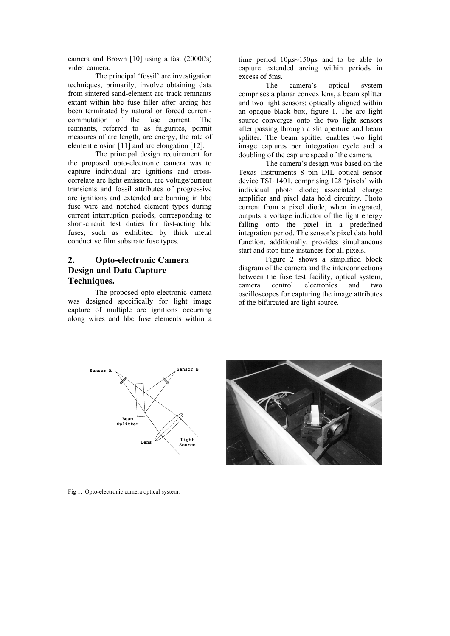camera and Brown [10] using a fast (2000f/s) video camera.

The principal 'fossil' arc investigation techniques, primarily, involve obtaining data from sintered sand-element arc track remnants extant within hbc fuse filler after arcing has been terminated by natural or forced currentcommutation of the fuse current. The remnants, referred to as fulgurites, permit measures of arc length, arc energy, the rate of element erosion [11] and arc elongation [12].

The principal design requirement for the proposed opto-electronic camera was to capture individual arc ignitions and crosscorrelate arc light emission, arc voltage/current transients and fossil attributes of progressive arc ignitions and extended arc burning in hbc fuse wire and notched element types during current interruption periods, corresponding to short-circuit test duties for fast-acting hbc fuses, such as exhibited by thick metal conductive film substrate fuse types.

# **2. Opto-electronic Camera Design and Data Capture Techniques.**

The proposed opto-electronic camera was designed specifically for light image capture of multiple arc ignitions occurring along wires and hbc fuse elements within a time period 10µs~150µs and to be able to capture extended arcing within periods in excess of 5ms.

The camera's optical system comprises a planar convex lens, a beam splitter and two light sensors; optically aligned within an opaque black box, figure 1. The arc light source converges onto the two light sensors after passing through a slit aperture and beam splitter. The beam splitter enables two light image captures per integration cycle and a doubling of the capture speed of the camera.

The camera's design was based on the Texas Instruments 8 pin DIL optical sensor device TSL 1401, comprising 128 'pixels' with individual photo diode; associated charge amplifier and pixel data hold circuitry. Photo current from a pixel diode, when integrated, outputs a voltage indicator of the light energy falling onto the pixel in a predefined integration period. The sensor's pixel data hold function, additionally, provides simultaneous start and stop time instances for all pixels.

Figure 2 shows a simplified block diagram of the camera and the interconnections between the fuse test facility, optical system,<br>camera control electronics and two camera control electronics and two oscilloscopes for capturing the image attributes of the bifurcated arc light source.





Fig 1. Opto-electronic camera optical system.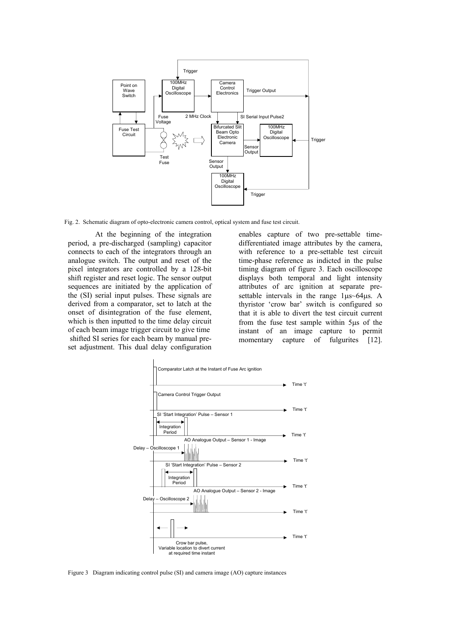

Fig. 2. Schematic diagram of opto-electronic camera control, optical system and fuse test circuit.

At the beginning of the integration period, a pre-discharged (sampling) capacitor connects to each of the integrators through an analogue switch. The output and reset of the pixel integrators are controlled by a 128-bit shift register and reset logic. The sensor output sequences are initiated by the application of the (SI) serial input pulses. These signals are derived from a comparator, set to latch at the onset of disintegration of the fuse element, which is then inputted to the time delay circuit of each beam image trigger circuit to give time shifted SI series for each beam by manual preset adjustment. This dual delay configuration enables capture of two pre-settable timedifferentiated image attributes by the camera, with reference to a pre-settable test circuit time-phase reference as indicted in the pulse timing diagram of figure 3. Each oscilloscope displays both temporal and light intensity attributes of arc ignition at separate presettable intervals in the range 1µs~64µs. A thyristor 'crow bar' switch is configured so that it is able to divert the test circuit current from the fuse test sample within 5µs of the instant of an image capture to permit momentary capture of fulgurites [12].



Figure 3 Diagram indicating control pulse (SI) and camera image (AO) capture instances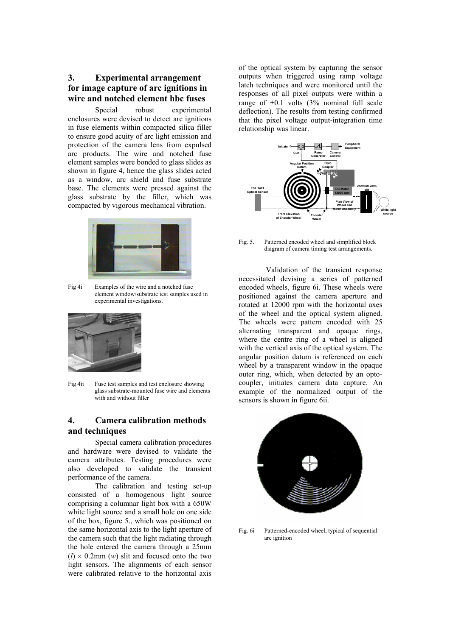**3. Experimental arrangement for image capture of arc ignitions in wire and notched element hbc fuses** 

Special robust experimental enclosures were devised to detect arc ignitions in fuse elements within compacted silica filler to ensure good acuity of arc light emission and protection of the camera lens from expulsed arc products. The wire and notched fuse element samples were bonded to glass slides as shown in figure 4, hence the glass slides acted as a window, arc shield and fuse substrate base. The elements were pressed against the glass substrate by the filler, which was compacted by vigorous mechanical vibration.



Fig 4i Examples of the wire and a notched fuse element window/substrate test samples used in experimental investigations.



Fig 4ii Fuse test samples and test enclosure showing glass substrate-mounted fuse wire and elements with and without filler

### **4. Camera calibration methods and techniques**

Special camera calibration procedures and hardware were devised to validate the camera attributes. Testing procedures were also developed to validate the transient performance of the camera.

The calibration and testing set-up consisted of a homogenous light source comprising a columnar light box with a 650W white light source and a small hole on one side of the box, figure 5., which was positioned on the same horizontal axis to the light aperture of the camera such that the light radiating through the hole entered the camera through a 25mm  $(l) \times 0.2$ mm  $(w)$  slit and focused onto the two light sensors. The alignments of each sensor were calibrated relative to the horizontal axis of the optical system by capturing the sensor outputs when triggered using ramp voltage latch techniques and were monitored until the responses of all pixel outputs were within a range of  $\pm 0.1$  volts (3% nominal full scale deflection). The results from testing confirmed that the pixel voltage output-integration time relationship was linear.



Fig. 5. Patterned encoded wheel and simplified block diagram of camera timing test arrangements.

 Validation of the transient response necessitated devising a series of patterned encoded wheels, figure 6i. These wheels were positioned against the camera aperture and rotated at 12000 rpm with the horizontal axes of the wheel and the optical system aligned. The wheels were pattern encoded with 25 alternating transparent and opaque rings, where the centre ring of a wheel is aligned with the vertical axis of the optical system. The angular position datum is referenced on each wheel by a transparent window in the opaque outer ring, which, when detected by an optocoupler, initiates camera data capture. An example of the normalized output of the sensors is shown in figure 6ii.



Fig. 6i Patterned-encoded wheel, typical of sequential arc ignition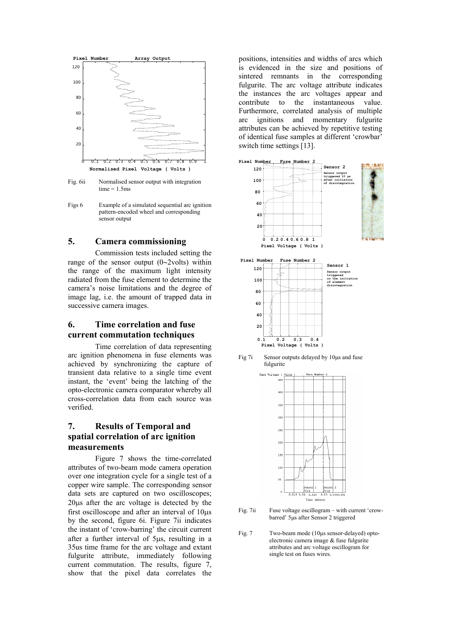

Fig. 6ii Normalised sensor output with integration  $time = 1.5$ ms

Figs 6 Example of a simulated sequential arc ignition pattern-encoded wheel and corresponding sensor output

#### **5. Camera commissioning**

Commission tests included setting the range of the sensor output (0∼2volts) within the range of the maximum light intensity radiated from the fuse element to determine the camera's noise limitations and the degree of image lag, i.e. the amount of trapped data in successive camera images.

### **6. Time correlation and fuse current commutation techniques**

Time correlation of data representing arc ignition phenomena in fuse elements was achieved by synchronizing the capture of transient data relative to a single time event instant, the 'event' being the latching of the opto-electronic camera comparator whereby all cross-correlation data from each source was verified.

## **7. Results of Temporal and spatial correlation of arc ignition measurements**

Figure 7 shows the time-correlated attributes of two-beam mode camera operation over one integration cycle for a single test of a copper wire sample. The corresponding sensor data sets are captured on two oscilloscopes; 20µs after the arc voltage is detected by the first oscilloscope and after an interval of 10µs by the second, figure 6i. Figure 7ii indicates the instant of 'crow-barring' the circuit current after a further interval of 5µs, resulting in a 35us time frame for the arc voltage and extant fulgurite attribute, immediately following current commutation. The results, figure 7, show that the pixel data correlates the

positions, intensities and widths of arcs which is evidenced in the size and positions of sintered remnants in the corresponding fulgurite. The arc voltage attribute indicates the instances the arc voltages appear and contribute to the instantaneous value. Furthermore, correlated analysis of multiple arc ignitions and momentary fulgurite attributes can be achieved by repetitive testing of identical fuse samples at different 'crowbar' switch time settings [13].



Fig 7i Sensor outputs delayed by 10µs and fuse fulgurite



Fig. 7ii Fuse voltage oscillogram – with current 'crowbarred' 5µs after Sensor 2 triggered

Fig. 7 Two-beam mode (10µs sensor-delayed) optoelectronic camera image & fuse fulgurite attributes and arc voltage oscillogram for single test on fuses wires.